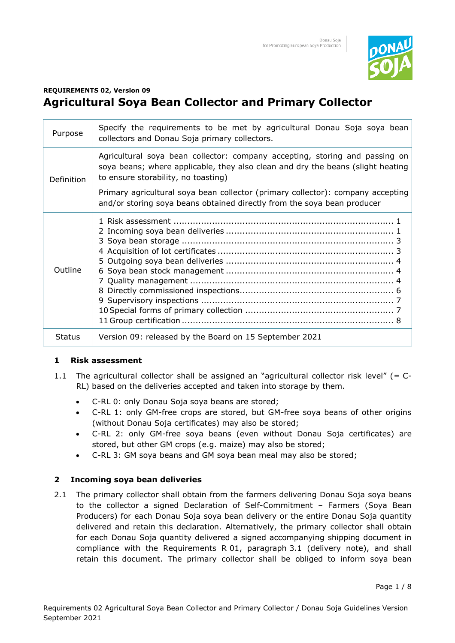

# **REQUIREMENTS 02, Version 09 Agricultural Soya Bean Collector and Primary Collector**

| Purpose        | Specify the requirements to be met by agricultural Donau Soja soya bean<br>collectors and Donau Soja primary collectors.                                                                              |
|----------------|-------------------------------------------------------------------------------------------------------------------------------------------------------------------------------------------------------|
| Definition     | Agricultural soya bean collector: company accepting, storing and passing on<br>soya beans; where applicable, they also clean and dry the beans (slight heating<br>to ensure storability, no toasting) |
|                | Primary agricultural soya bean collector (primary collector): company accepting<br>and/or storing soya beans obtained directly from the soya bean producer                                            |
| <b>Outline</b> |                                                                                                                                                                                                       |
| <b>Status</b>  | Version 09: released by the Board on 15 September 2021                                                                                                                                                |

### **1 Risk assessment**

- 1.1 The agricultural collector shall be assigned an "agricultural collector risk level" (= C-RL) based on the deliveries accepted and taken into storage by them.
	- C-RL 0: only Donau Soja soya beans are stored;
	- C-RL 1: only GM-free crops are stored, but GM-free soya beans of other origins (without Donau Soja certificates) may also be stored;
	- C-RL 2: only GM-free soya beans (even without Donau Soja certificates) are stored, but other GM crops (e.g. maize) may also be stored;
	- C-RL 3: GM soya beans and GM soya bean meal may also be stored;

# **2 Incoming soya bean deliveries**

2.1 The primary collector shall obtain from the farmers delivering Donau Soja soya beans to the collector a signed Declaration of Self-Commitment – Farmers (Soya Bean Producers) for each Donau Soja soya bean delivery or the entire Donau Soja quantity delivered and retain this declaration. Alternatively, the primary collector shall obtain for each Donau Soja quantity delivered a signed accompanying shipping document in compliance with the Requirements R 01, paragraph 3.1 (delivery note), and shall retain this document. The primary collector shall be obliged to inform soya bean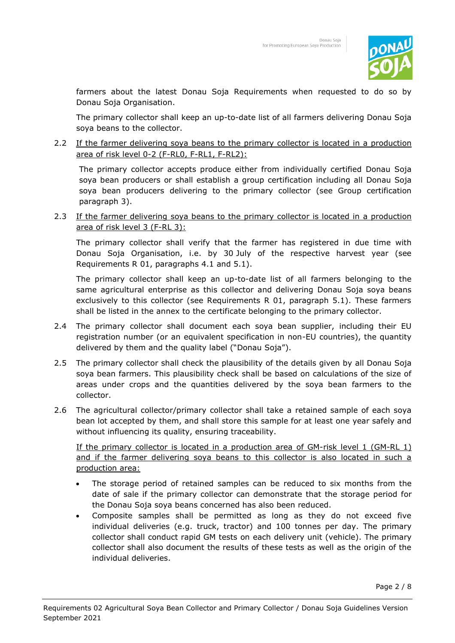

farmers about the latest Donau Soja Requirements when requested to do so by Donau Soja Organisation.

The primary collector shall keep an up-to-date list of all farmers delivering Donau Soja soya beans to the collector.

2.2 If the farmer delivering soya beans to the primary collector is located in a production area of risk level 0-2 (F-RL0, F-RL1, F-RL2):

The primary collector accepts produce either from individually certified Donau Soja soya bean producers or shall establish a group certification including all Donau Soja soya bean producers delivering to the primary collector (see Group certification paragraph 3).

2.3 If the farmer delivering soya beans to the primary collector is located in a production area of risk level 3 (F-RL 3):

The primary collector shall verify that the farmer has registered in due time with Donau Soja Organisation, i.e. by 30 July of the respective harvest year (see Requirements R 01, paragraphs 4.1 and 5.1).

The primary collector shall keep an up-to-date list of all farmers belonging to the same agricultural enterprise as this collector and delivering Donau Soja soya beans exclusively to this collector (see Requirements R 01, paragraph 5.1). These farmers shall be listed in the annex to the certificate belonging to the primary collector.

- 2.4 The primary collector shall document each soya bean supplier, including their EU registration number (or an equivalent specification in non-EU countries), the quantity delivered by them and the quality label ("Donau Soja").
- 2.5 The primary collector shall check the plausibility of the details given by all Donau Soja soya bean farmers. This plausibility check shall be based on calculations of the size of areas under crops and the quantities delivered by the soya bean farmers to the collector.
- 2.6 The agricultural collector/primary collector shall take a retained sample of each soya bean lot accepted by them, and shall store this sample for at least one year safely and without influencing its quality, ensuring traceability.

If the primary collector is located in a production area of GM-risk level 1 (GM-RL 1) and if the farmer delivering soya beans to this collector is also located in such a production area:

- The storage period of retained samples can be reduced to six months from the date of sale if the primary collector can demonstrate that the storage period for the Donau Soja soya beans concerned has also been reduced.
- Composite samples shall be permitted as long as they do not exceed five individual deliveries (e.g. truck, tractor) and 100 tonnes per day. The primary collector shall conduct rapid GM tests on each delivery unit (vehicle). The primary collector shall also document the results of these tests as well as the origin of the individual deliveries.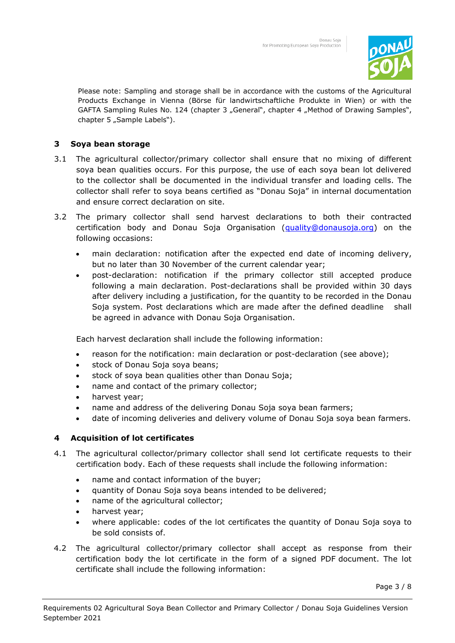

Please note: Sampling and storage shall be in accordance with the customs of the Agricultural Products Exchange in Vienna (Börse für landwirtschaftliche Produkte in Wien) or with the GAFTA Sampling Rules No. 124 (chapter 3 "General", chapter 4 "Method of Drawing Samples", chapter 5 "Sample Labels").

### **3 Soya bean storage**

- 3.1 The agricultural collector/primary collector shall ensure that no mixing of different soya bean qualities occurs. For this purpose, the use of each soya bean lot delivered to the collector shall be documented in the individual transfer and loading cells. The collector shall refer to soya beans certified as "Donau Soja" in internal documentation and ensure correct declaration on site.
- 3.2 The primary collector shall send harvest declarations to both their contracted certification body and Donau Soja Organisation [\(quality@donausoja.org\)](mailto:quality@donausoja.org) on the following occasions:
	- main declaration: notification after the expected end date of incoming delivery, but no later than 30 November of the current calendar year;
	- post-declaration: notification if the primary collector still accepted produce following a main declaration. Post-declarations shall be provided within 30 days after delivery including a justification, for the quantity to be recorded in the Donau Soja system. Post declarations which are made after the defined deadline shall be agreed in advance with Donau Soja Organisation.

Each harvest declaration shall include the following information:

- reason for the notification: main declaration or post-declaration (see above);
- stock of Donau Soja soya beans;
- stock of soya bean qualities other than Donau Soja;
- name and contact of the primary collector;
- harvest year;
- name and address of the delivering Donau Soja soya bean farmers;
- date of incoming deliveries and delivery volume of Donau Soja soya bean farmers.

#### **4 Acquisition of lot certificates**

- 4.1 The agricultural collector/primary collector shall send lot certificate requests to their certification body. Each of these requests shall include the following information:
	- name and contact information of the buyer;
	- quantity of Donau Soja soya beans intended to be delivered;
	- name of the agricultural collector;
	- harvest year;
	- where applicable: codes of the lot certificates the quantity of Donau Soja soya to be sold consists of.
- 4.2 The agricultural collector/primary collector shall accept as response from their certification body the lot certificate in the form of a signed PDF document. The lot certificate shall include the following information: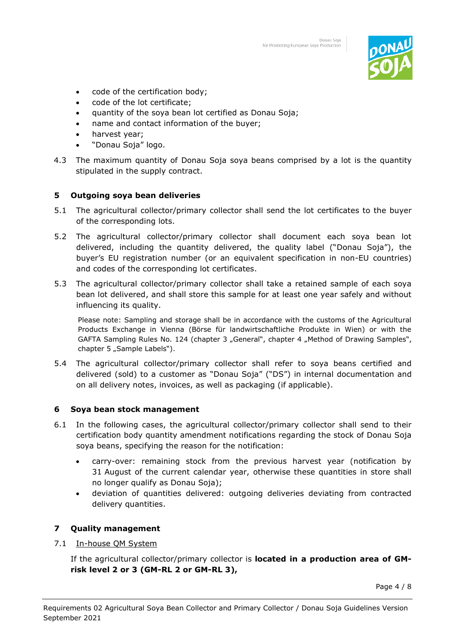

- code of the certification body;
- code of the lot certificate;
- quantity of the soya bean lot certified as Donau Soja;
- name and contact information of the buyer;
- harvest year;
- "Donau Soja" logo.
- 4.3 The maximum quantity of Donau Soja soya beans comprised by a lot is the quantity stipulated in the supply contract.

#### **5 Outgoing soya bean deliveries**

- 5.1 The agricultural collector/primary collector shall send the lot certificates to the buyer of the corresponding lots.
- 5.2 The agricultural collector/primary collector shall document each soya bean lot delivered, including the quantity delivered, the quality label ("Donau Soja"), the buyer's EU registration number (or an equivalent specification in non-EU countries) and codes of the corresponding lot certificates.
- 5.3 The agricultural collector/primary collector shall take a retained sample of each soya bean lot delivered, and shall store this sample for at least one year safely and without influencing its quality.

Please note: Sampling and storage shall be in accordance with the customs of the Agricultural Products Exchange in Vienna (Börse für landwirtschaftliche Produkte in Wien) or with the GAFTA Sampling Rules No. 124 (chapter 3 "General", chapter 4 "Method of Drawing Samples", chapter 5 "Sample Labels").

5.4 The agricultural collector/primary collector shall refer to soya beans certified and delivered (sold) to a customer as "Donau Soja" ("DS") in internal documentation and on all delivery notes, invoices, as well as packaging (if applicable).

#### **6 Soya bean stock management**

- 6.1 In the following cases, the agricultural collector/primary collector shall send to their certification body quantity amendment notifications regarding the stock of Donau Soja soya beans, specifying the reason for the notification:
	- carry-over: remaining stock from the previous harvest year (notification by 31 August of the current calendar year, otherwise these quantities in store shall no longer qualify as Donau Soja);
	- deviation of quantities delivered: outgoing deliveries deviating from contracted delivery quantities.

#### **7 Quality management**

7.1 In-house QM System

If the agricultural collector/primary collector is **located in a production area of GMrisk level 2 or 3 (GM-RL 2 or GM-RL 3),**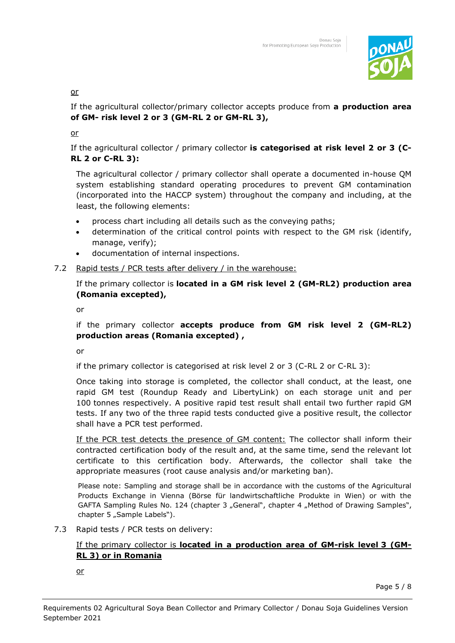

or

If the agricultural collector/primary collector accepts produce from **a production area of GM- risk level 2 or 3 (GM-RL 2 or GM-RL 3),**

or

If the agricultural collector / primary collector **is categorised at risk level 2 or 3 (C-RL 2 or C-RL 3):**

The agricultural collector / primary collector shall operate a documented in-house QM system establishing standard operating procedures to prevent GM contamination (incorporated into the HACCP system) throughout the company and including, at the least, the following elements:

- process chart including all details such as the conveying paths;
- determination of the critical control points with respect to the GM risk (identify, manage, verify);
- documentation of internal inspections.
- 7.2 Rapid tests / PCR tests after delivery / in the warehouse:

If the primary collector is **located in a GM risk level 2 (GM-RL2) production area (Romania excepted),**

or

if the primary collector **accepts produce from GM risk level 2 (GM-RL2) production areas (Romania excepted) ,** 

or

if the primary collector is categorised at risk level 2 or 3 (C-RL 2 or C-RL 3):

Once taking into storage is completed, the collector shall conduct, at the least, one rapid GM test (Roundup Ready and LibertyLink) on each storage unit and per 100 tonnes respectively. A positive rapid test result shall entail two further rapid GM tests. If any two of the three rapid tests conducted give a positive result, the collector shall have a PCR test performed.

If the PCR test detects the presence of GM content: The collector shall inform their contracted certification body of the result and, at the same time, send the relevant lot certificate to this certification body. Afterwards, the collector shall take the appropriate measures (root cause analysis and/or marketing ban).

Please note: Sampling and storage shall be in accordance with the customs of the Agricultural Products Exchange in Vienna (Börse für landwirtschaftliche Produkte in Wien) or with the GAFTA Sampling Rules No. 124 (chapter 3 "General", chapter 4 "Method of Drawing Samples", chapter 5 "Sample Labels").

7.3 Rapid tests / PCR tests on delivery:

### If the primary collector is **located in a production area of GM-risk level 3 (GM-RL 3) or in Romania**

or

Page 5 / 8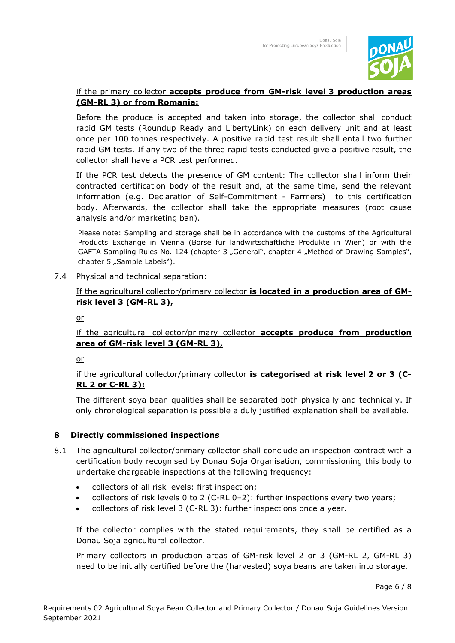

### if the primary collector **accepts produce from GM-risk level 3 production areas (GM-RL 3) or from Romania:**

Before the produce is accepted and taken into storage, the collector shall conduct rapid GM tests (Roundup Ready and LibertyLink) on each delivery unit and at least once per 100 tonnes respectively. A positive rapid test result shall entail two further rapid GM tests. If any two of the three rapid tests conducted give a positive result, the collector shall have a PCR test performed.

If the PCR test detects the presence of GM content: The collector shall inform their contracted certification body of the result and, at the same time, send the relevant information (e.g. Declaration of Self-Commitment - Farmers) to this certification body. Afterwards, the collector shall take the appropriate measures (root cause analysis and/or marketing ban).

Please note: Sampling and storage shall be in accordance with the customs of the Agricultural Products Exchange in Vienna (Börse für landwirtschaftliche Produkte in Wien) or with the GAFTA Sampling Rules No. 124 (chapter 3 "General", chapter 4 "Method of Drawing Samples", chapter 5 "Sample Labels").

7.4 Physical and technical separation:

### If the agricultural collector/primary collector **is located in a production area of GMrisk level 3 (GM-RL 3),**

or

## if the agricultural collector/primary collector **accepts produce from production area of GM-risk level 3 (GM-RL 3),**

or

if the agricultural collector/primary collector **is categorised at risk level 2 or 3 (C-RL 2 or C-RL 3):** 

The different soya bean qualities shall be separated both physically and technically. If only chronological separation is possible a duly justified explanation shall be available.

### **8 Directly commissioned inspections**

- 8.1 The agricultural collector/primary collector shall conclude an inspection contract with a certification body recognised by Donau Soja Organisation, commissioning this body to undertake chargeable inspections at the following frequency:
	- collectors of all risk levels: first inspection;
	- collectors of risk levels 0 to 2 (C-RL 0–2): further inspections every two years;
	- collectors of risk level 3 (C-RL 3): further inspections once a year.

If the collector complies with the stated requirements, they shall be certified as a Donau Soja agricultural collector.

Primary collectors in production areas of GM-risk level 2 or 3 (GM-RL 2, GM-RL 3) need to be initially certified before the (harvested) soya beans are taken into storage.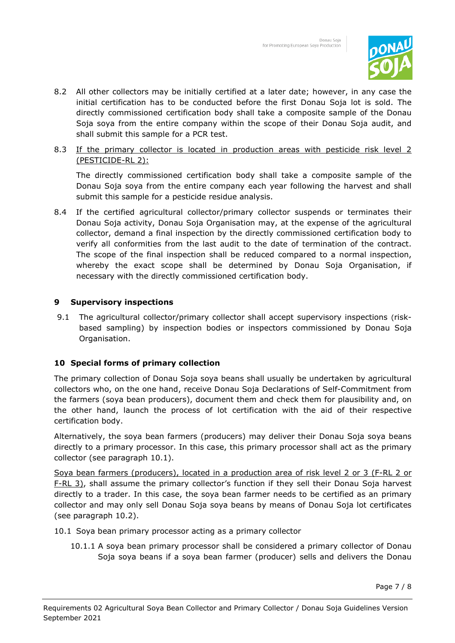

- 8.2 All other collectors may be initially certified at a later date; however, in any case the initial certification has to be conducted before the first Donau Soja lot is sold. The directly commissioned certification body shall take a composite sample of the Donau Soja soya from the entire company within the scope of their Donau Soja audit, and shall submit this sample for a PCR test.
- 8.3 If the primary collector is located in production areas with pesticide risk level 2 (PESTICIDE-RL 2):

The directly commissioned certification body shall take a composite sample of the Donau Soja soya from the entire company each year following the harvest and shall submit this sample for a pesticide residue analysis.

8.4 If the certified agricultural collector/primary collector suspends or terminates their Donau Soja activity, Donau Soja Organisation may, at the expense of the agricultural collector, demand a final inspection by the directly commissioned certification body to verify all conformities from the last audit to the date of termination of the contract. The scope of the final inspection shall be reduced compared to a normal inspection, whereby the exact scope shall be determined by Donau Soja Organisation, if necessary with the directly commissioned certification body.

### **9 Supervisory inspections**

9.1 The agricultural collector/primary collector shall accept supervisory inspections (riskbased sampling) by inspection bodies or inspectors commissioned by Donau Soja Organisation.

#### **10 Special forms of primary collection**

The primary collection of Donau Soja soya beans shall usually be undertaken by agricultural collectors who, on the one hand, receive Donau Soja Declarations of Self-Commitment from the farmers (soya bean producers), document them and check them for plausibility and, on the other hand, launch the process of lot certification with the aid of their respective certification body.

Alternatively, the soya bean farmers (producers) may deliver their Donau Soja soya beans directly to a primary processor. In this case, this primary processor shall act as the primary collector (see paragraph 10.1).

Soya bean farmers (producers), located in a production area of risk level 2 or 3 (F-RL 2 or F-RL 3), shall assume the primary collector's function if they sell their Donau Soja harvest directly to a trader. In this case, the soya bean farmer needs to be certified as an primary collector and may only sell Donau Soja soya beans by means of Donau Soja lot certificates (see paragraph 10.2).

- 10.1 Soya bean primary processor acting as a primary collector
	- 10.1.1 A soya bean primary processor shall be considered a primary collector of Donau Soja soya beans if a soya bean farmer (producer) sells and delivers the Donau